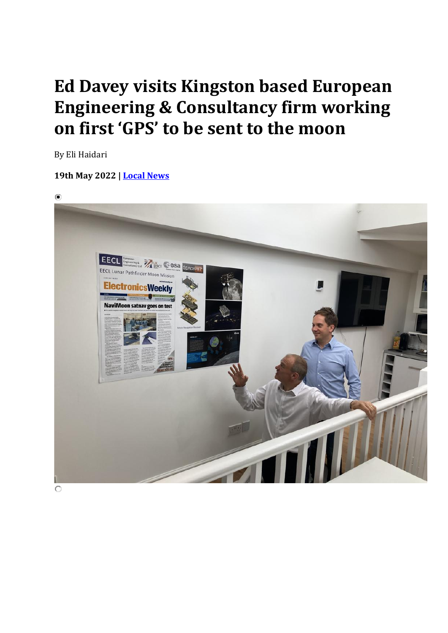## **Ed Davey visits Kingston based European Engineering & Consultancy firm working on first 'GPS' to be sent to the moon**

By Eli Haidari

## **19th May 2022 | [Local News](https://kingston.nub.news/news/local-news)**

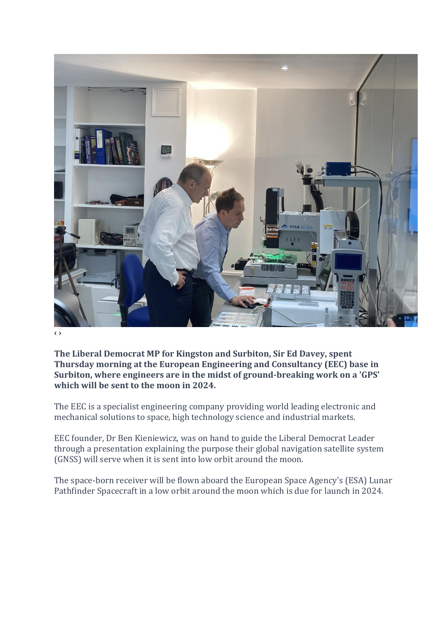

‹ ›

**The Liberal Democrat MP for Kingston and Surbiton, Sir Ed Davey, spent Thursday morning at the European Engineering and Consultancy (EEC) base in Surbiton, where engineers are in the midst of ground-breaking work on a 'GPS' which will be sent to the moon in 2024.**

The EEC is a specialist engineering company providing world leading electronic and mechanical solutions to space, high technology science and industrial markets.

EEC founder, Dr Ben Kieniewicz, was on hand to guide the Liberal Democrat Leader through a presentation explaining the purpose their global navigation satellite system (GNSS) will serve when it is sent into low orbit around the moon.

The space-born receiver will be flown aboard the European Space Agency's (ESA) Lunar Pathfinder Spacecraft in a low orbit around the moon which is due for launch in 2024.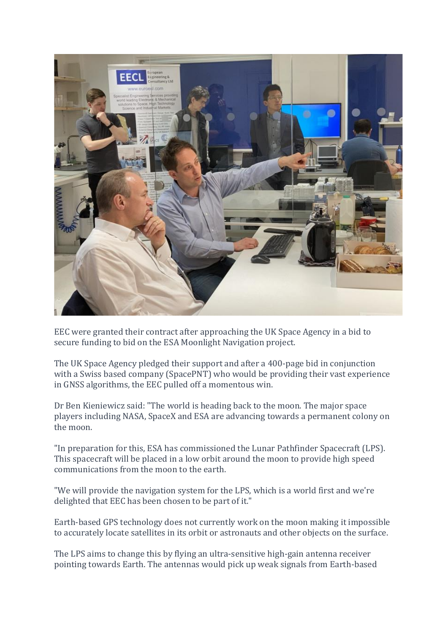

EEC were granted their contract after approaching the UK Space Agency in a bid to secure funding to bid on the ESA Moonlight Navigation project.

The UK Space Agency pledged their support and after a 400-page bid in conjunction with a Swiss based company (SpacePNT) who would be providing their vast experience in GNSS algorithms, the EEC pulled off a momentous win.

Dr Ben Kieniewicz said: "The world is heading back to the moon. The major space players including NASA, SpaceX and ESA are advancing towards a permanent colony on the moon.

"In preparation for this, ESA has commissioned the Lunar Pathfinder Spacecraft (LPS). This spacecraft will be placed in a low orbit around the moon to provide high speed communications from the moon to the earth.

"We will provide the navigation system for the LPS, which is a world first and we're delighted that EEC has been chosen to be part of it."

Earth-based GPS technology does not currently work on the moon making it impossible to accurately locate satellites in its orbit or astronauts and other objects on the surface.

The LPS aims to change this by flying an ultra-sensitive high-gain antenna receiver pointing towards Earth. The antennas would pick up weak signals from Earth-based